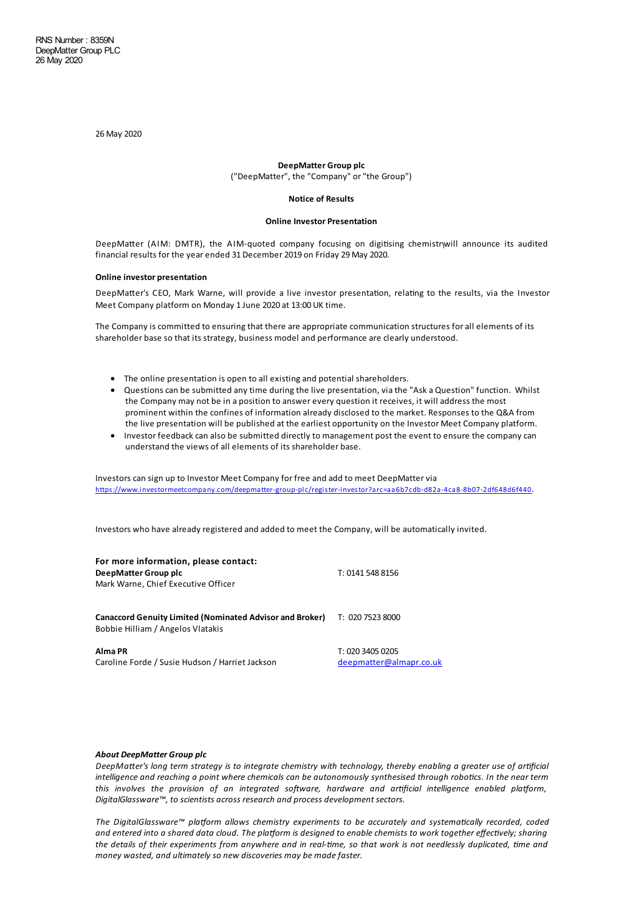26May 2020

## **DeepMatter Group plc** ("DeepMatter", the "Company" or"the Group")

#### **Notice of Results**

#### **Online Investor Presentation**

DeepMatter (AIM: DMTR), the AIM-quoted company focusing on digitising chemistrywill announce its audited financial results for the year ended 31 December 2019 on Friday 29May 2020.

## **Online investor presentation**

DeepMatter's CEO, Mark Warne, will provide a live investor presentation, relating to the results, via the Investor Meet Company platform on Monday 1 June 2020 at 13:00 UK time.

The Company is committed to ensuring that there are appropriate communication structures for all elements of its shareholder base so that its strategy, business model and performance are clearly understood.

- The online presentation is open to all existing and potential shareholders.
- Questions can be submitted any time during the live presentation, via the "Ask a Question" function. Whilst the Company may not be in a position to answer every question it receives, it will address the most prominent within the confines of information already disclosed to the market. Responses to the Q&A from the live presentation will be published at the earliest opportunity on the Investor Meet Company platform.
- · Investor feedback can also be submitted directly to management post the event to ensure the company can understand the views of all elements of its shareholder base.

Investors can sign up to Investor Meet Company for free and add to meet DeepMatter via <https://www.investormeetcompany.com/deepmatter-group-plc/register-investor?arc=aa6b7cdb-d82a-4ca8-8b07-2df648d6f440>.

Investors who have already registered and added to meet the Company, will be automatically invited.

| For more information, please contact:<br>DeepMatter Group plc<br>Mark Warne, Chief Executive Officer | T: 0141 548 8156                            |
|------------------------------------------------------------------------------------------------------|---------------------------------------------|
| <b>Canaccord Genuity Limited (Nominated Advisor and Broker)</b><br>Bobbie Hilliam / Angelos Vlatakis | T: 020 7523 8000                            |
| Alma PR<br>Caroline Forde / Susie Hudson / Harriet Jackson                                           | T: 020 3405 0205<br>deepmatter@almapr.co.uk |

#### *About DeepMatter Group plc*

DeepMatter's long term strategy is to integrate chemistry with technology, thereby enabling a greater use of artificial intelligence and reaching a point where chemicals can be autonomously synthesised through robotics. In the near term *this involves the provision of an integrated so ware, hardware and arficial intelligence enabled pla!orm, DigitalGlassware™, to scientists across research and process development sectors.*

*The DigitalGlassware™ pla!orm allows chemistry experiments to be accurately and systemacally recorded, coded* and entered into a shared data cloud. The platform is designed to enable chemists to work together effectively; sharing the details of their experiments from anywhere and in real-time, so that work is not needlessly duplicated, time and *money wasted, and ultimately so new discoveries may be madefaster.*